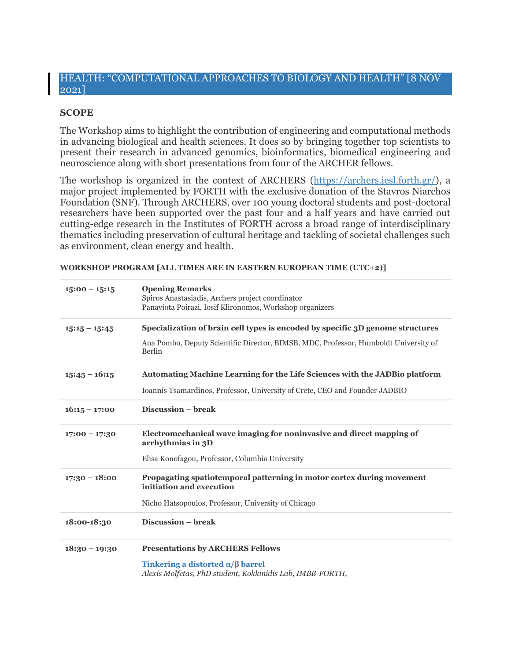## HEALTH: "COMPUTATIONAL APPROACHES TO BIOLOGY AND HEALTH" [8 NOV 2021]

## **SCOPE**

The Workshop aims to highlight the contribution of engineering and computational methods in advancing biological and health sciences. It does so by bringing together top scientists to present their research in advanced genomics, bioinformatics, biomedical engineering and neuroscience along with short presentations from four of the ARCHER fellows.

The workshop is organized in the context of ARCHERS [\(https://archers.iesl.forth.gr/\)](https://archers.iesl.forth.gr/), a major project implemented by FORTH with the exclusive donation of the Stavros Niarchos Foundation (SNF). Through ARCHERS, over 100 young doctoral students and post-doctoral researchers have been supported over the past four and a half years and have carried out cutting-edge research in the Institutes of FORTH across a broad range of interdisciplinary thematics including preservation of cultural heritage and tackling of societal challenges such as environment, clean energy and health.

**WORKSHOP PROGRAM [ALL TIMES ARE IN EASTERN EUROPEAN TIME (UTC+2)]**

| $15:00 - 15:15$ | <b>Opening Remarks</b><br>Spiros Anastasiadis, Archers project coordinator<br>Panayiota Poirazi, Iosif Klironomos, Workshop organizers                                           |
|-----------------|----------------------------------------------------------------------------------------------------------------------------------------------------------------------------------|
| $15:15 - 15:45$ | Specialization of brain cell types is encoded by specific 3D genome structures<br>Ana Pombo, Deputy Scientific Director, BIMSB, MDC, Professor, Humboldt University of<br>Berlin |
| $15:45 - 16:15$ | <b>Automating Machine Learning for the Life Sciences with the JADBio platform</b><br>Ioannis Tsamardinos, Professor, University of Crete, CEO and Founder JADBIO                 |
| $16:15 - 17:00$ | Discussion - break                                                                                                                                                               |
| $17:00 - 17:30$ | Electromechanical wave imaging for noninvasive and direct mapping of<br>arrhythmias in 3D<br>Elisa Konofagou, Professor, Columbia University                                     |
| $17:30 - 18:00$ | Propagating spatiotemporal patterning in motor cortex during movement<br>initiation and execution<br>Nicho Hatsopoulos, Professor, University of Chicago                         |
| 18:00-18:30     | Discussion - break                                                                                                                                                               |
| $18:30 - 19:30$ | <b>Presentations by ARCHERS Fellows</b><br>Tinkering a distorted $\alpha/\beta$ barrel<br>Alexis Molfetas, PhD student, Kokkinidis Lab, IMBB-FORTH,                              |